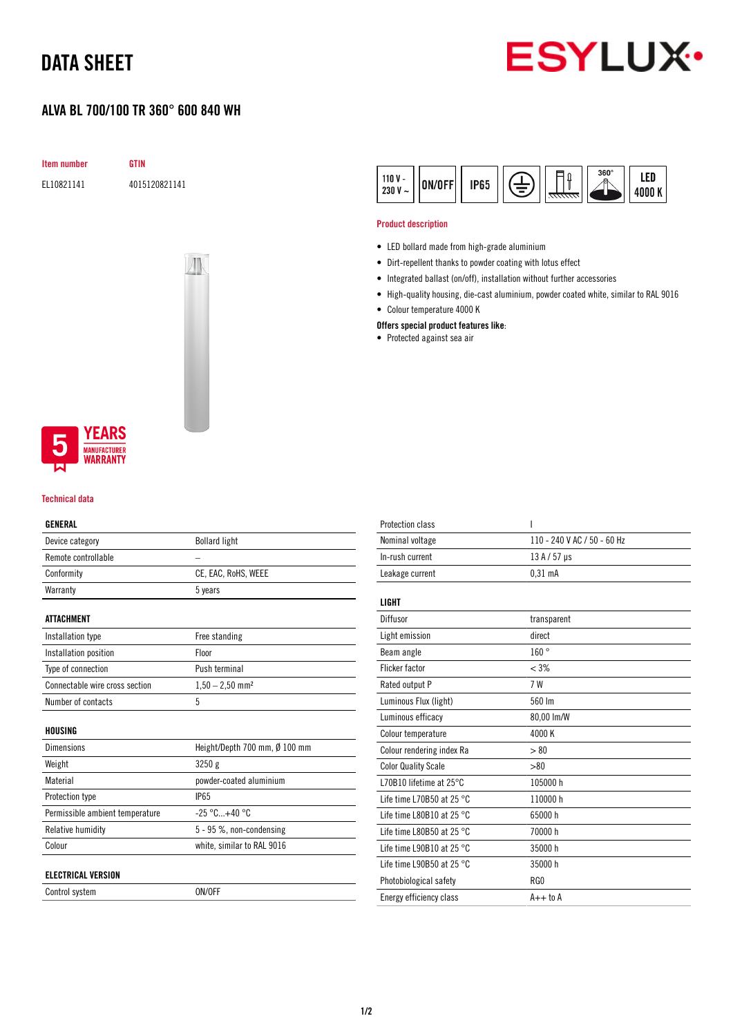# DATA SHEET

### ALVA BL 700/100 TR 360° 600 840 WH



Item number GTIN EL10821141 4015120821141



#### 360° LED  $110V -$ ON/OFF **IP65** 230 V  $\sim$ 4000 K

### Product description

- LED bollard made from high-grade aluminium
- Dirt-repellent thanks to powder coating with lotus effect
- Integrated ballast (on/off), installation without further accessories
- High-quality housing, die-cast aluminium, powder coated white, similar to RAL 9016
- Colour temperature 4000 K

### Offers special product features like:

• Protected against sea air



#### Technical data

### GENERAL

| Device category                 | <b>Bollard light</b>          |
|---------------------------------|-------------------------------|
| Remote controllable             |                               |
| Conformity                      | CE, EAC, RoHS, WEEE           |
| Warranty                        | 5 years                       |
|                                 |                               |
| <b>ATTACHMENT</b>               |                               |
| Installation type               | Free standing                 |
| Installation position           | Floor                         |
| Type of connection              | Push terminal                 |
| Connectable wire cross section  | $1,50 - 2,50$ mm <sup>2</sup> |
| Number of contacts              | 5                             |
|                                 |                               |
| HOUSING                         |                               |
| <b>Dimensions</b>               | Height/Depth 700 mm, Ø 100 mm |
| Weight                          | 3250g                         |
| Material                        | powder-coated aluminium       |
| Protection type                 | <b>IP65</b>                   |
| Permissible ambient temperature | $-25 °C+40 °C$                |
| Relative humidity               | $5 - 95$ %, non-condensing    |
| Colour                          | white, similar to RAL 9016    |
|                                 |                               |
| <b>ELECTRICAL VERSION</b>       |                               |
| Control system                  | ON/OFF                        |

| Protection class                    | ı                           |
|-------------------------------------|-----------------------------|
| Nominal voltage                     | 110 - 240 V AC / 50 - 60 Hz |
| In-rush current                     | $13A/57$ µs                 |
| Leakage current                     | 0.31 <sub>m</sub> A         |
|                                     |                             |
| <b>LIGHT</b>                        |                             |
| Diffusor                            | transparent                 |
| Light emission                      | direct                      |
| Beam angle                          | 160°                        |
| <b>Flicker factor</b>               | $< 3\%$                     |
| Rated output P                      | 7 W                         |
| Luminous Flux (light)               | 560 lm                      |
| Luminous efficacy                   | 80,00 lm/W                  |
| Colour temperature                  | 4000 K                      |
| Colour rendering index Ra           | > 80                        |
| <b>Color Quality Scale</b>          | > 80                        |
| L70B10 lifetime at 25°C             | 105000 h                    |
| Life time L70B50 at 25 $^{\circ}$ C | 110000h                     |
| Life time L80B10 at 25 $^{\circ}$ C | 65000h                      |
| Life time L80B50 at 25 $^{\circ}$ C | 70000 h                     |
| Life time L90B10 at 25 $^{\circ}$ C | 35000h                      |
| Life time L90B50 at 25 $^{\circ}$ C | 35000h                      |
| Photobiological safety              | RG0                         |
| Energy efficiency class             | $A++$ to $A$                |
|                                     |                             |